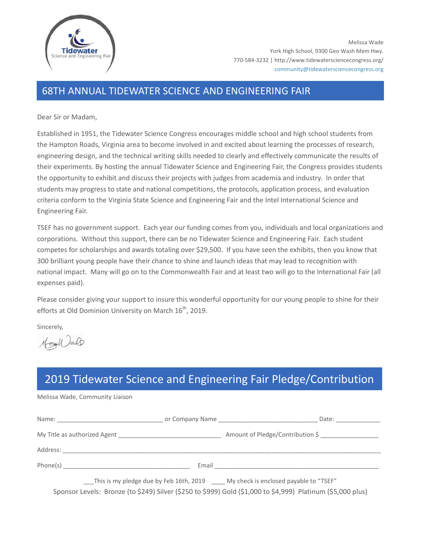

## 68TH ANNUAL TIDEWATER SCIENCE AND ENGINEERING FAIR

Dear Sir or Madam,

Established in 1951, the Tidewater Science Congress encourages middle school and high school students from the Hampton Roads, Virginia area to become involved in and excited about learning the processes of research, engineering design, and the technical writing skills needed to clearly and effectively communicate the results of their experiments. By hosting the annual Tidewater Science and Engineering Fair, the Congress provides students the opportunity to exhibit and discuss their projects with judges from academia and industry. In order that students may progress to state and national competitions, the protocols, application process, and evaluation criteria conform to the Virginia State Science and Engineering Fair and the Intel International Science and Engineering Fair.

TSEF has no government support. Each year our funding comes from you, individuals and local organizations and corporations. Without this support, there can be no Tidewater Science and Engineering Fair. Each student competes for scholarships and awards totaling over \$29,500. If you have seen the exhibits, then you know that 300 brilliant young people have their chance to shine and launch ideas that may lead to recognition with national impact. Many will go on to the Commonwealth Fair and at least two will go to the International Fair (all expenses paid).

Please consider giving your support to insure this wonderful opportunity for our young people to shine for their efforts at Old Dominion University on March 16<sup>th</sup>, 2019.

Sincerely,

Mollado

## 2019 Tidewater Science and Engineering Fair Pledge/Contribution

Melissa Wade, Community Liaison

|                                                                                                                                                                                                         |       | Date:                            |
|---------------------------------------------------------------------------------------------------------------------------------------------------------------------------------------------------------|-------|----------------------------------|
|                                                                                                                                                                                                         |       | Amount of Pledge/Contribution \$ |
| Address:                                                                                                                                                                                                |       |                                  |
|                                                                                                                                                                                                         | Email |                                  |
| This is my pledge due by Feb 16th, 2019 _____ My check is enclosed payable to "TSEF"<br>in the contract of the state of the state of the state of the state of the state of the state of the state of t |       |                                  |

Sponsor Levels: Bronze (to \$249) Silver (\$250 to \$999) Gold (\$1,000 to \$4,999) Platinum (\$5,000 plus)